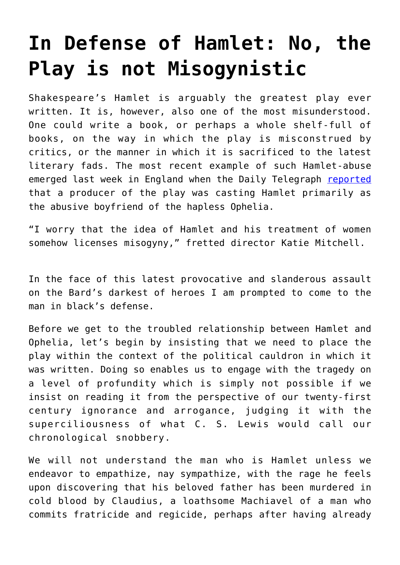## **[In Defense of Hamlet: No, the](https://intellectualtakeout.org/2016/05/in-defense-of-hamlet-no-the-play-is-not-misogynistic/) [Play is not Misogynistic](https://intellectualtakeout.org/2016/05/in-defense-of-hamlet-no-the-play-is-not-misogynistic/)**

Shakespeare's Hamlet is arguably the greatest play ever written. It is, however, also one of the most misunderstood. One could write a book, or perhaps a whole shelf-full of books, on the way in which the play is misconstrued by critics, or the manner in which it is sacrificed to the latest literary fads. The most recent example of such Hamlet-abuse emerged last week in England when the Daily Telegraph [reported](http://www.telegraph.co.uk/women/life/is-hamlet-sexist-meet-the-director-who-says-shakespeares-hero-wa/) that a producer of the play was casting Hamlet primarily as the abusive boyfriend of the hapless Ophelia.

"I worry that the idea of Hamlet and his treatment of women somehow licenses misogyny," fretted director Katie Mitchell.

In the face of this latest provocative and slanderous assault on the Bard's darkest of heroes I am prompted to come to the man in black's defense.

Before we get to the troubled relationship between Hamlet and Ophelia, let's begin by insisting that we need to place the play within the context of the political cauldron in which it was written. Doing so enables us to engage with the tragedy on a level of profundity which is simply not possible if we insist on reading it from the perspective of our twenty-first century ignorance and arrogance, judging it with the superciliousness of what C. S. Lewis would call our chronological snobbery.

We will not understand the man who is Hamlet unless we endeavor to empathize, nay sympathize, with the rage he feels upon discovering that his beloved father has been murdered in cold blood by Claudius, a loathsome Machiavel of a man who commits fratricide and regicide, perhaps after having already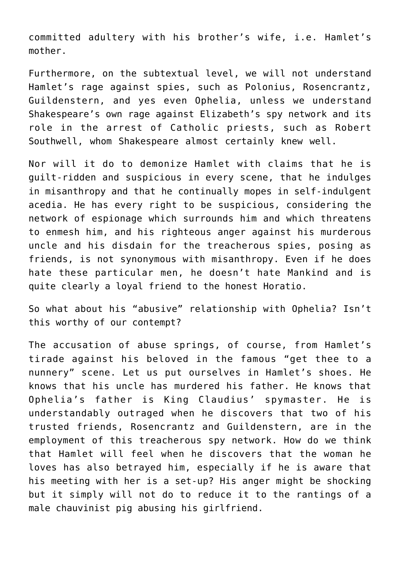committed adultery with his brother's wife, i.e. Hamlet's mother.

Furthermore, on the subtextual level, we will not understand Hamlet's rage against spies, such as Polonius, Rosencrantz, Guildenstern, and yes even Ophelia, unless we understand Shakespeare's own rage against Elizabeth's spy network and its role in the arrest of Catholic priests, such as Robert Southwell, whom Shakespeare almost certainly knew well.

Nor will it do to demonize Hamlet with claims that he is guilt-ridden and suspicious in every scene, that he indulges in misanthropy and that he continually mopes in self-indulgent acedia. He has every right to be suspicious, considering the network of espionage which surrounds him and which threatens to enmesh him, and his righteous anger against his murderous uncle and his disdain for the treacherous spies, posing as friends, is not synonymous with misanthropy. Even if he does hate these particular men, he doesn't hate Mankind and is quite clearly a loyal friend to the honest Horatio.

So what about his "abusive" relationship with Ophelia? Isn't this worthy of our contempt?

The accusation of abuse springs, of course, from Hamlet's tirade against his beloved in the famous "get thee to a nunnery" scene. Let us put ourselves in Hamlet's shoes. He knows that his uncle has murdered his father. He knows that Ophelia's father is King Claudius' spymaster. He is understandably outraged when he discovers that two of his trusted friends, Rosencrantz and Guildenstern, are in the employment of this treacherous spy network. How do we think that Hamlet will feel when he discovers that the woman he loves has also betrayed him, especially if he is aware that his meeting with her is a set-up? His anger might be shocking but it simply will not do to reduce it to the rantings of a male chauvinist pig abusing his girlfriend.